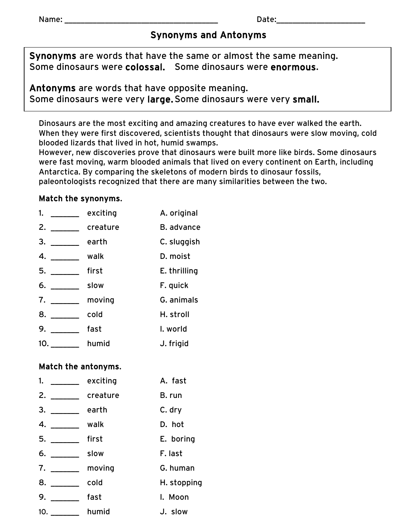# Synonyms and Antonyms

Synonyms are words that have the same or almost the same meaning. Some dinosaurs were colossal. Some dinosaurs were enormous.

Antonyms are words that have opposite meaning. Some dinosaurs were very large.Some dinosaurs were very small.

Dinosaurs are the most exciting and amazing creatures to have ever walked the earth. When they were first discovered, scientists thought that dinosaurs were slow moving, cold blooded lizards that lived in hot, humid swamps.

However, new discoveries prove that dinosaurs were built more like birds. Some dinosaurs were fast moving, warm blooded animals that lived on every continent on Earth, including Antarctica. By comparing the skeletons of modern birds to dinosaur fossils, paleontologists recognized that there are many similarities between the two.

### Match the synonyms.

| 1.<br>$\mathcal{L} = \mathcal{L}$ | exciting | A. original       |
|-----------------------------------|----------|-------------------|
| 2.                                | creature | <b>B.</b> advance |
| 3.                                | earth    | C. sluggish       |
| 4.                                | walk     | D. moist          |
|                                   | first    | E. thrilling      |
| 6. __________ slow                |          | F. quick          |
| 7.                                | moving   | G. animals        |
| 8.                                | cold     | H. stroll         |
| 9.                                | fast     | I. world          |
| 10.                               | humid    | J. frigid         |

### Match the antonyms.

| 1. $\qquad \qquad$ | exciting          | A. fast     |
|--------------------|-------------------|-------------|
| 2.                 | creature creature | B. run      |
| 3. _________ earth |                   | C. dry      |
| 4. ________ walk   |                   | D. hot      |
| 5. _________ first |                   | E. boring   |
| 6. __________ slow |                   | F. last     |
| 7.                 | moving            | G. human    |
| 8.                 | cold              | H. stopping |
| 9.                 | fast              | I. Moon     |
| 10.                | humid             | J. slow     |